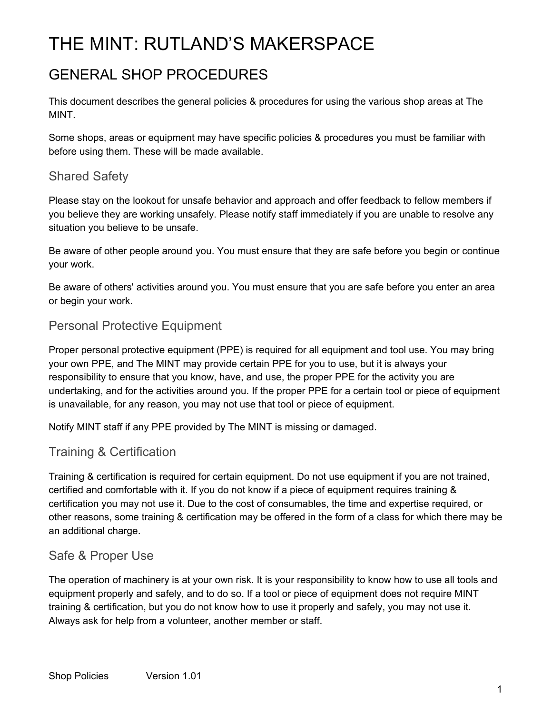# THE MINT: RUTLAND'S MAKERSPACE

## GENERAL SHOP PROCEDURES

This document describes the general policies & procedures for using the various shop areas at The MINT.

Some shops, areas or equipment may have specific policies & procedures you must be familiar with before using them. These will be made available.

#### Shared Safety

Please stay on the lookout for unsafe behavior and approach and offer feedback to fellow members if you believe they are working unsafely. Please notify staff immediately if you are unable to resolve any situation you believe to be unsafe.

Be aware of other people around you. You must ensure that they are safe before you begin or continue your work.

Be aware of others' activities around you. You must ensure that you are safe before you enter an area or begin your work.

#### Personal Protective Equipment

Proper personal protective equipment (PPE) is required for all equipment and tool use. You may bring your own PPE, and The MINT may provide certain PPE for you to use, but it is always your responsibility to ensure that you know, have, and use, the proper PPE for the activity you are undertaking, and for the activities around you. If the proper PPE for a certain tool or piece of equipment is unavailable, for any reason, you may not use that tool or piece of equipment.

Notify MINT staff if any PPE provided by The MINT is missing or damaged.

#### Training & Certification

Training & certification is required for certain equipment. Do not use equipment if you are not trained, certified and comfortable with it. If you do not know if a piece of equipment requires training & certification you may not use it. Due to the cost of consumables, the time and expertise required, or other reasons, some training & certification may be offered in the form of a class for which there may be an additional charge.

#### Safe & Proper Use

The operation of machinery is at your own risk. It is your responsibility to know how to use all tools and equipment properly and safely, and to do so. If a tool or piece of equipment does not require MINT training & certification, but you do not know how to use it properly and safely, you may not use it. Always ask for help from a volunteer, another member or staff.